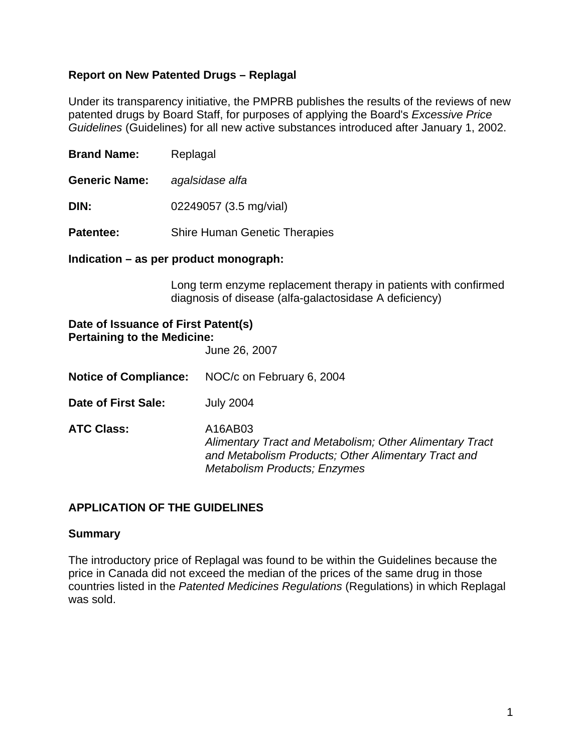# **Report on New Patented Drugs – Replagal**

Under its transparency initiative, the PMPRB publishes the results of the reviews of new patented drugs by Board Staff, for purposes of applying the Board's *Excessive Price Guidelines* (Guidelines) for all new active substances introduced after January 1, 2002.

**Brand Name:** Replagal

**Generic Name:** *agalsidase alfa*

**DIN:** 02249057 (3.5 mg/vial)

**Patentee:** Shire Human Genetic Therapies

**Indication – as per product monograph:** 

Long term enzyme replacement therapy in patients with confirmed diagnosis of disease (alfa-galactosidase A deficiency)

# **Date of Issuance of First Patent(s) Pertaining to the Medicine:**

June 26, 2007

- **Notice of Compliance:** NOC/c on February 6, 2004
- **Date of First Sale:** July 2004

**ATC Class:** A16AB03 *Alimentary Tract and Metabolism; Other Alimentary Tract and Metabolism Products; Other Alimentary Tract and Metabolism Products; Enzymes* 

# **APPLICATION OF THE GUIDELINES**

#### **Summary**

The introductory price of Replagal was found to be within the Guidelines because the price in Canada did not exceed the median of the prices of the same drug in those countries listed in the *Patented Medicines Regulations* (Regulations) in which Replagal was sold.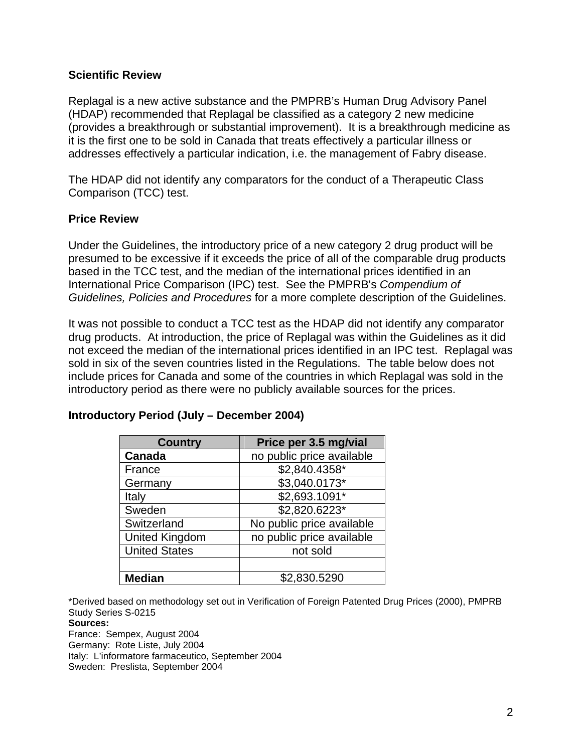### **Scientific Review**

Replagal is a new active substance and the PMPRB's Human Drug Advisory Panel (HDAP) recommended that Replagal be classified as a category 2 new medicine (provides a breakthrough or substantial improvement). It is a breakthrough medicine as it is the first one to be sold in Canada that treats effectively a particular illness or addresses effectively a particular indication, i.e. the management of Fabry disease.

The HDAP did not identify any comparators for the conduct of a Therapeutic Class Comparison (TCC) test.

# **Price Review**

Under the Guidelines, the introductory price of a new category 2 drug product will be presumed to be excessive if it exceeds the price of all of the comparable drug products based in the TCC test, and the median of the international prices identified in an International Price Comparison (IPC) test. See the PMPRB's *Compendium of Guidelines, Policies and Procedures* for a more complete description of the Guidelines.

It was not possible to conduct a TCC test as the HDAP did not identify any comparator drug products. At introduction, the price of Replagal was within the Guidelines as it did not exceed the median of the international prices identified in an IPC test. Replagal was sold in six of the seven countries listed in the Regulations. The table below does not include prices for Canada and some of the countries in which Replagal was sold in the introductory period as there were no publicly available sources for the prices.

| <b>Country</b>        | Price per 3.5 mg/vial     |
|-----------------------|---------------------------|
| Canada                | no public price available |
| France                | \$2,840.4358*             |
| Germany               | \$3,040.0173*             |
| Italy                 | \$2,693.1091*             |
| Sweden                | \$2,820.6223*             |
| Switzerland           | No public price available |
| <b>United Kingdom</b> | no public price available |
| <b>United States</b>  | not sold                  |
|                       |                           |
| <b>Median</b>         | \$2,830.5290              |

# **Introductory Period (July – December 2004)**

\*Derived based on methodology set out in Verification of Foreign Patented Drug Prices (2000), PMPRB Study Series S-0215

**Sources:**

France: Sempex, August 2004 Germany: Rote Liste, July 2004 Italy: L'informatore farmaceutico, September 2004 Sweden: Preslista, September 2004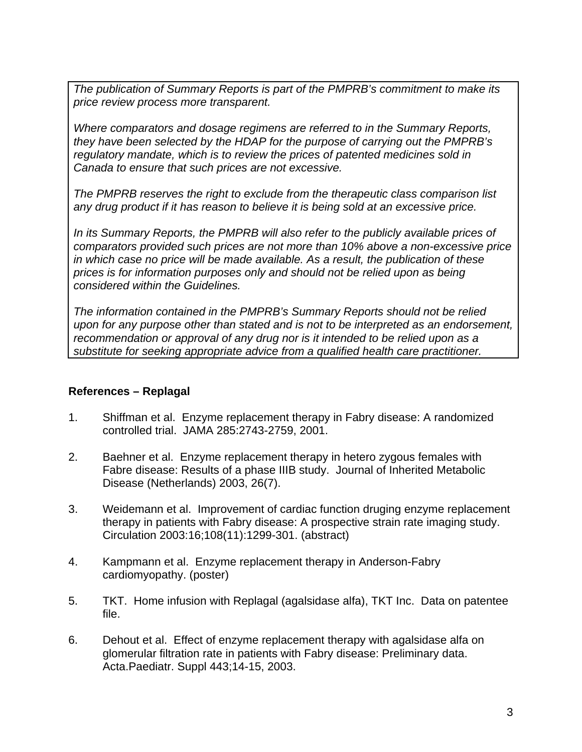*The publication of Summary Reports is part of the PMPRB's commitment to make its price review process more transparent.* 

*Where comparators and dosage regimens are referred to in the Summary Reports, they have been selected by the HDAP for the purpose of carrying out the PMPRB's regulatory mandate, which is to review the prices of patented medicines sold in Canada to ensure that such prices are not excessive.* 

*The PMPRB reserves the right to exclude from the therapeutic class comparison list any drug product if it has reason to believe it is being sold at an excessive price.* 

*In its Summary Reports, the PMPRB will also refer to the publicly available prices of comparators provided such prices are not more than 10% above a non-excessive price in which case no price will be made available. As a result, the publication of these prices is for information purposes only and should not be relied upon as being considered within the Guidelines.* 

*The information contained in the PMPRB's Summary Reports should not be relied upon for any purpose other than stated and is not to be interpreted as an endorsement, recommendation or approval of any drug nor is it intended to be relied upon as a substitute for seeking appropriate advice from a qualified health care practitioner.* 

# **References – Replagal**

- 1. Shiffman et al. Enzyme replacement therapy in Fabry disease: A randomized controlled trial. JAMA 285:2743-2759, 2001.
- 2. Baehner et al. Enzyme replacement therapy in hetero zygous females with Fabre disease: Results of a phase IIIB study. Journal of Inherited Metabolic Disease (Netherlands) 2003, 26(7).
- 3. Weidemann et al. Improvement of cardiac function druging enzyme replacement therapy in patients with Fabry disease: A prospective strain rate imaging study. Circulation 2003:16;108(11):1299-301. (abstract)
- 4. Kampmann et al. Enzyme replacement therapy in Anderson-Fabry cardiomyopathy. (poster)
- 5. TKT. Home infusion with Replagal (agalsidase alfa), TKT Inc. Data on patentee file.
- 6. Dehout et al. Effect of enzyme replacement therapy with agalsidase alfa on glomerular filtration rate in patients with Fabry disease: Preliminary data. Acta.Paediatr. Suppl 443;14-15, 2003.